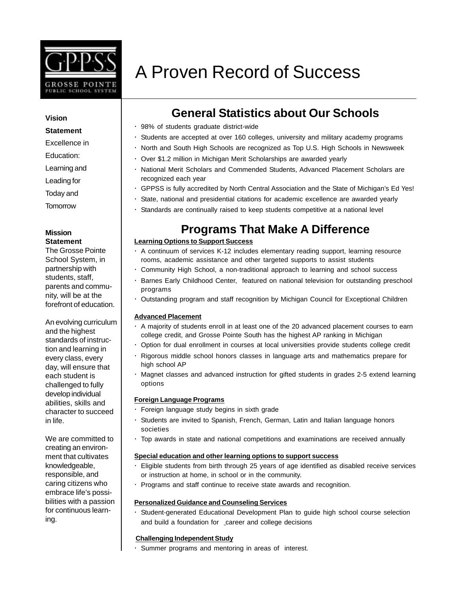

## A Proven Record of Success

## **General Statistics about Our Schools**

- · 98% of students graduate district-wide
- · Students are accepted at over 160 colleges, university and military academy programs
- · North and South High Schools are recognized as Top U.S. High Schools in Newsweek
	- · Over \$1.2 million in Michigan Merit Scholarships are awarded yearly
- · National Merit Scholars and Commended Students, Advanced Placement Scholars are recognized each year
	- · GPPSS is fully accredited by North Central Association and the State of Michigan's Ed Yes!
	- State, national and presidential citations for academic excellence are awarded yearly
	- · Standards are continually raised to keep students competitive at a national level

### **Programs That Make A Difference**

### **Learning Options to Support Success**

- · A continuum of services K-12 includes elementary reading support, learning resource rooms, academic assistance and other targeted supports to assist students
- · Community High School, a non-traditional approach to learning and school success
- · Barnes Early Childhood Center, featured on national television for outstanding preschool programs
- · Outstanding program and staff recognition by Michigan Council for Exceptional Children

### **Advanced Placement**

- · A majority of students enroll in at least one of the 20 advanced placement courses to earn college credit, and Grosse Pointe South has the highest AP ranking in Michigan
- · Option for dual enrollment in courses at local universities provide students college credit
- · Rigorous middle school honors classes in language arts and mathematics prepare for high school AP
- · Magnet classes and advanced instruction for gifted students in grades 2-5 extend learning options

### **Foreign Language Programs**

- Foreign language study begins in sixth grade
- · Students are invited to Spanish, French, German, Latin and Italian language honors societies
- · Top awards in state and national competitions and examinations are received annually

### **Special education and other learning options to support success**

- · Eligible students from birth through 25 years of age identified as disabled receive services or instruction at home, in school or in the community.
- · Programs and staff continue to receive state awards and recognition.

### **Personalized Guidance and Counseling Services**

· Student-generated Educational Development Plan to guide high school course selection and build a foundation for career and college decisions

### **Challenging Independent Study**

Summer programs and mentoring in areas of interest.

### **Vision**

### **Statement**

### Excellence in

- Education:
- Learning and
- Leading for
- Today and

### Tomorrow

### **Mission Statement**

The Grosse Pointe School System, in partnership with students, staff, parents and community, will be at the forefront of education.

An evolving curriculum and the highest standards of instruction and learning in every class, every day, will ensure that each student is challenged to fully develop individual abilities, skills and character to succeed in life.

We are committed to creating an environment that cultivates knowledgeable, responsible, and caring citizens who embrace life's possibilities with a passion for continuous learning.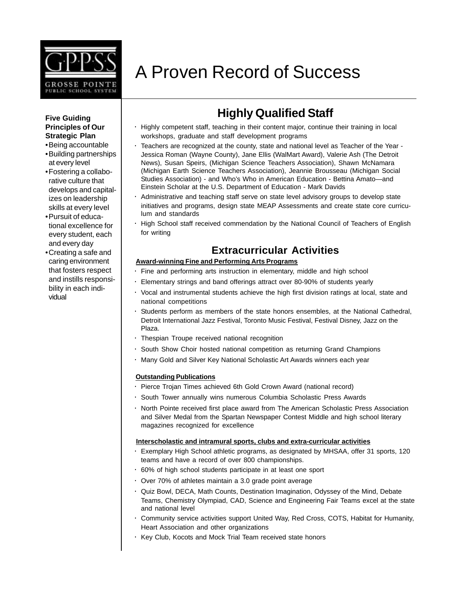

# A Proven Record of Success

### **Five Guiding Principles of Our Strategic Plan**

- •Being accountable •Building partnerships at every level
- •Fostering a collaborative culture that develops and capitalizes on leadership skills at every level
- •Pursuit of educational excellence for every student, each and every day
- •Creating a safe and caring environment that fosters respect and instills responsibility in each individual

## **Highly Qualified Staff**

- · Highly competent staff, teaching in their content major, continue their training in local workshops, graduate and staff development programs
- · Teachers are recognized at the county, state and national level as Teacher of the Year Jessica Roman (Wayne County), Jane Ellis (WalMart Award), Valerie Ash (The Detroit News), Susan Speirs, (Michigan Science Teachers Association), Shawn McNamara (Michigan Earth Science Teachers Association), Jeannie Brousseau (Michigan Social Studies Association) - and Who's Who in American Education - Bettina Amato—and Einstein Scholar at the U.S. Department of Education - Mark Davids
- · Administrative and teaching staff serve on state level advisory groups to develop state initiatives and programs, design state MEAP Assessments and create state core curriculum and standards
- · High School staff received commendation by the National Council of Teachers of English for writing

### **Extracurricular Activities**

### **Award-winning Fine and Performing Arts Programs**

- · Fine and performing arts instruction in elementary, middle and high school
- · Elementary strings and band offerings attract over 80-90% of students yearly
- · Vocal and instrumental students achieve the high first division ratings at local, state and national competitions
- · Students perform as members of the state honors ensembles, at the National Cathedral, Detroit International Jazz Festival, Toronto Music Festival, Festival Disney, Jazz on the Plaza.
- Thespian Troupe received national recognition
- · South Show Choir hosted national competition as returning Grand Champions
- · Many Gold and Silver Key National Scholastic Art Awards winners each year

### **Outstanding Publications**

- · Pierce Trojan Times achieved 6th Gold Crown Award (national record)
- · South Tower annually wins numerous Columbia Scholastic Press Awards
- · North Pointe received first place award from The American Scholastic Press Association and Silver Medal from the Spartan Newspaper Contest Middle and high school literary magazines recognized for excellence

### **Interscholastic and intramural sports, clubs and extra-curricular activities**

- · Exemplary High School athletic programs, as designated by MHSAA, offer 31 sports, 120 teams and have a record of over 800 championships.
- · 60% of high school students participate in at least one sport
- · Over 70% of athletes maintain a 3.0 grade point average
- · Quiz Bowl, DECA, Math Counts, Destination Imagination, Odyssey of the Mind, Debate Teams, Chemistry Olympiad, CAD, Science and Engineering Fair Teams excel at the state and national level
- · Community service activities support United Way, Red Cross, COTS, Habitat for Humanity, Heart Association and other organizations
- · Key Club, Kocots and Mock Trial Team received state honors